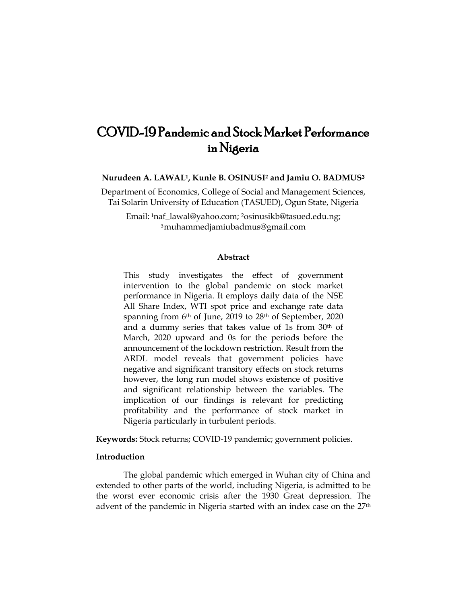# COVID-19 Pandemic and Stock Market Performance in Nigeria

**Nurudeen A. LAWAL1, Kunle B. OSINUSI<sup>2</sup> and Jamiu O. BADMUS**<sup>3</sup>

Department of Economics, College of Social and Management Sciences, Tai Solarin University of Education (TASUED), Ogun State, Nigeria

Email: <sup>1</sup>[naf\\_lawal@yahoo.com;](mailto:1naf_lawal@yahoo.com) 2[osinusikb@tasued.edu.ng;](mailto:Ψosinusikb@tasued.edu.ng) <sup>3</sup>[muhammedjamiubadmus@gmail.com](mailto:muhammedjamiubadmus@gmail.com)

#### **Abstract**

This study investigates the effect of government intervention to the global pandemic on stock market performance in Nigeria. It employs daily data of the NSE All Share Index, WTI spot price and exchange rate data spanning from 6<sup>th</sup> of June, 2019 to 28<sup>th</sup> of September, 2020 and a dummy series that takes value of 1s from 30th of March, 2020 upward and 0s for the periods before the announcement of the lockdown restriction. Result from the ARDL model reveals that government policies have negative and significant transitory effects on stock returns however, the long run model shows existence of positive and significant relationship between the variables. The implication of our findings is relevant for predicting profitability and the performance of stock market in Nigeria particularly in turbulent periods.

**Keywords:** Stock returns; COVID-19 pandemic; government policies.

# **Introduction**

The global pandemic which emerged in Wuhan city of China and extended to other parts of the world, including Nigeria, is admitted to be the worst ever economic crisis after the 1930 Great depression. The advent of the pandemic in Nigeria started with an index case on the 27th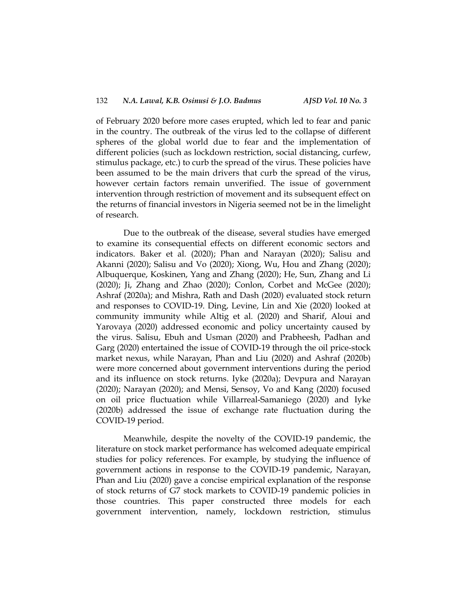of February 2020 before more cases erupted, which led to fear and panic in the country. The outbreak of the virus led to the collapse of different spheres of the global world due to fear and the implementation of different policies (such as lockdown restriction, social distancing, curfew, stimulus package, etc.) to curb the spread of the virus. These policies have been assumed to be the main drivers that curb the spread of the virus, however certain factors remain unverified. The issue of government intervention through restriction of movement and its subsequent effect on the returns of financial investors in Nigeria seemed not be in the limelight of research.

Due to the outbreak of the disease, several studies have emerged to examine its consequential effects on different economic sectors and indicators. Baker et al*.* (2020); Phan and Narayan (2020); Salisu and Akanni (2020); Salisu and Vo (2020); Xiong, Wu, Hou and Zhang (2020); Albuquerque, Koskinen, Yang and Zhang (2020); He, Sun, Zhang and Li (2020); Ji, Zhang and Zhao (2020); Conlon, Corbet and McGee (2020); Ashraf (2020a); and Mishra, Rath and Dash (2020) evaluated stock return and responses to COVID-19. Ding, Levine, Lin and Xie (2020) looked at community immunity while Altig et al*.* (2020) and Sharif, Aloui and Yarovaya (2020) addressed economic and policy uncertainty caused by the virus. Salisu, Ebuh and Usman (2020) and Prabheesh, Padhan and Garg (2020) entertained the issue of COVID-19 through the oil price-stock market nexus, while Narayan, Phan and Liu (2020) and Ashraf (2020b) were more concerned about government interventions during the period and its influence on stock returns. Iyke (2020a); Devpura and Narayan (2020); Narayan (2020); and Mensi, Sensoy, Vo and Kang (2020) focused on oil price fluctuation while Villarreal-Samaniego (2020) and Iyke (2020b) addressed the issue of exchange rate fluctuation during the COVID-19 period.

Meanwhile, despite the novelty of the COVID-19 pandemic, the literature on stock market performance has welcomed adequate empirical studies for policy references. For example, by studying the influence of government actions in response to the COVID-19 pandemic, Narayan, Phan and Liu (2020) gave a concise empirical explanation of the response of stock returns of G7 stock markets to COVID-19 pandemic policies in those countries. This paper constructed three models for each government intervention, namely, lockdown restriction, stimulus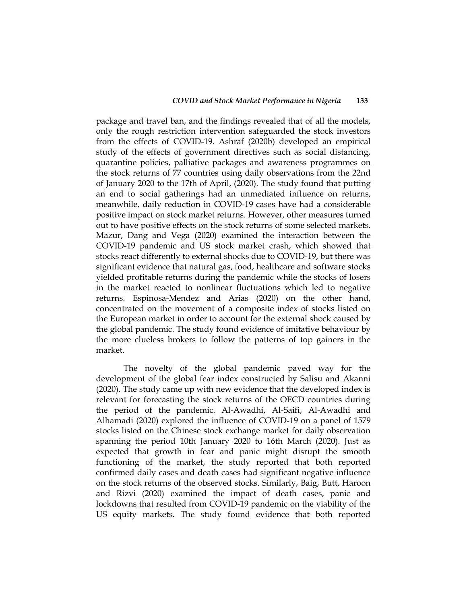package and travel ban, and the findings revealed that of all the models, only the rough restriction intervention safeguarded the stock investors from the effects of COVID-19. Ashraf (2020b) developed an empirical study of the effects of government directives such as social distancing, quarantine policies, palliative packages and awareness programmes on the stock returns of 77 countries using daily observations from the 22nd of January 2020 to the 17th of April, (2020). The study found that putting an end to social gatherings had an unmediated influence on returns, meanwhile, daily reduction in COVID-19 cases have had a considerable positive impact on stock market returns. However, other measures turned out to have positive effects on the stock returns of some selected markets. Mazur, Dang and Vega (2020) examined the interaction between the COVID-19 pandemic and US stock market crash, which showed that stocks react differently to external shocks due to COVID-19, but there was significant evidence that natural gas, food, healthcare and software stocks yielded profitable returns during the pandemic while the stocks of losers in the market reacted to nonlinear fluctuations which led to negative returns. Espinosa-Mendez and Arias (2020) on the other hand, concentrated on the movement of a composite index of stocks listed on the European market in order to account for the external shock caused by the global pandemic. The study found evidence of imitative behaviour by the more clueless brokers to follow the patterns of top gainers in the market.

The novelty of the global pandemic paved way for the development of the global fear index constructed by Salisu and Akanni (2020). The study came up with new evidence that the developed index is relevant for forecasting the stock returns of the OECD countries during the period of the pandemic. Al-Awadhi, Al-Saifi, Al-Awadhi and Alhamadi (2020) explored the influence of COVID-19 on a panel of 1579 stocks listed on the Chinese stock exchange market for daily observation spanning the period 10th January 2020 to 16th March (2020). Just as expected that growth in fear and panic might disrupt the smooth functioning of the market, the study reported that both reported confirmed daily cases and death cases had significant negative influence on the stock returns of the observed stocks. Similarly, Baig, Butt, Haroon and Rizvi (2020) examined the impact of death cases, panic and lockdowns that resulted from COVID-19 pandemic on the viability of the US equity markets. The study found evidence that both reported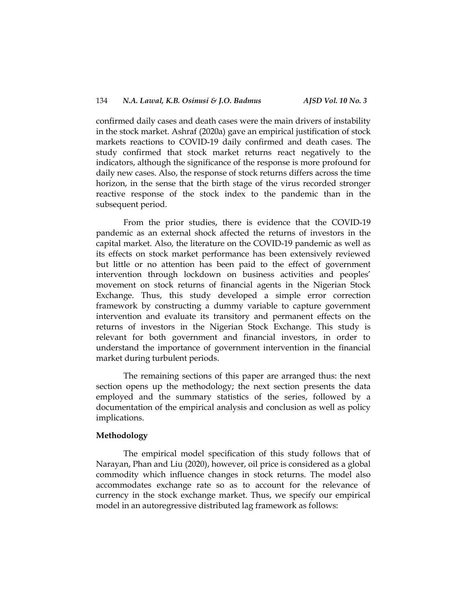confirmed daily cases and death cases were the main drivers of instability in the stock market. Ashraf (2020a) gave an empirical justification of stock markets reactions to COVID-19 daily confirmed and death cases. The study confirmed that stock market returns react negatively to the indicators, although the significance of the response is more profound for daily new cases. Also, the response of stock returns differs across the time horizon, in the sense that the birth stage of the virus recorded stronger reactive response of the stock index to the pandemic than in the subsequent period.

From the prior studies, there is evidence that the COVID-19 pandemic as an external shock affected the returns of investors in the capital market. Also, the literature on the COVID-19 pandemic as well as its effects on stock market performance has been extensively reviewed but little or no attention has been paid to the effect of government intervention through lockdown on business activities and peoples' movement on stock returns of financial agents in the Nigerian Stock Exchange. Thus, this study developed a simple error correction framework by constructing a dummy variable to capture government intervention and evaluate its transitory and permanent effects on the returns of investors in the Nigerian Stock Exchange. This study is relevant for both government and financial investors, in order to understand the importance of government intervention in the financial market during turbulent periods.

The remaining sections of this paper are arranged thus: the next section opens up the methodology; the next section presents the data employed and the summary statistics of the series, followed by a documentation of the empirical analysis and conclusion as well as policy implications.

# **Methodology**

The empirical model specification of this study follows that of Narayan, Phan and Liu (2020), however, oil price is considered as a global commodity which influence changes in stock returns. The model also accommodates exchange rate so as to account for the relevance of currency in the stock exchange market. Thus, we specify our empirical model in an autoregressive distributed lag framework as follows: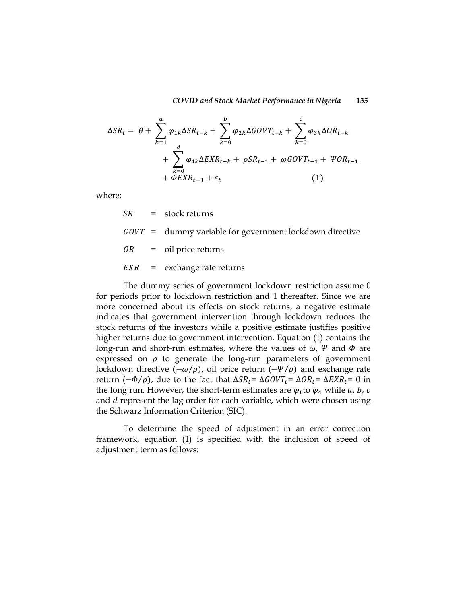*COVID and Stock Market Performance in Nigeria* **135**

$$
\Delta SR_{t} = \theta + \sum_{k=1}^{a} \varphi_{1k} \Delta SR_{t-k} + \sum_{k=0}^{b} \varphi_{2k} \Delta GOVT_{t-k} + \sum_{k=0}^{c} \varphi_{3k} \Delta OR_{t-k} + \sum_{k=0}^{d} \varphi_{4k} \Delta EXP_{t-k} + \rho SR_{t-1} + \omega GOVT_{t-1} + \Psi OR_{t-1} + \Phi EXP_{t-1} + \epsilon_{t}
$$
\n(1)

where:

|  | $SR = stock returns$                                      |
|--|-----------------------------------------------------------|
|  | $GOVT$ = dummy variable for government lockdown directive |
|  | $OR = oil price returns$                                  |
|  | $EXR =$ exchange rate returns                             |

The dummy series of government lockdown restriction assume 0 for periods prior to lockdown restriction and 1 thereafter. Since we are more concerned about its effects on stock returns, a negative estimate indicates that government intervention through lockdown reduces the stock returns of the investors while a positive estimate justifies positive higher returns due to government intervention. Equation (1) contains the long-run and short-run estimates, where the values of  $\omega$ ,  $\Psi$  and  $\Phi$  are expressed on  $\rho$  to generate the long-run parameters of government lockdown directive  $(-\omega/\rho)$ , oil price return  $(-\Psi/\rho)$  and exchange rate return  $(-\Phi/\rho)$ , due to the fact that  $\Delta SR_t = \Delta GOVT_t = \Delta OR_t = \Delta EXR_t = 0$  in the long run. However, the short-term estimates are  $\varphi_1$  to  $\varphi_4$  while a, b, c and *d* represent the lag order for each variable, which were chosen using the Schwarz Information Criterion (SIC).

To determine the speed of adjustment in an error correction framework, equation (1) is specified with the inclusion of speed of adjustment term as follows: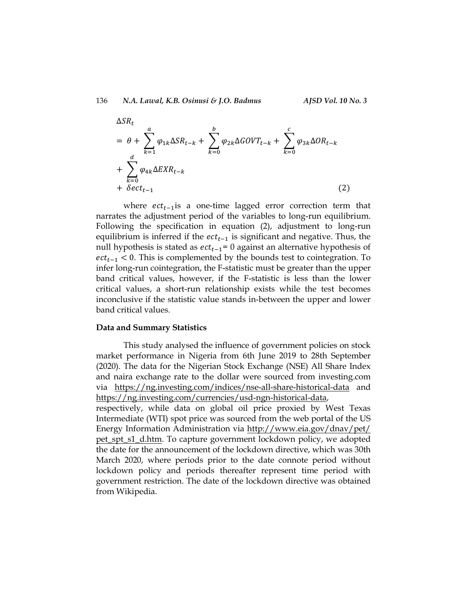136 *N.A. Lawal, K.B. Osinusi & J.O. Badmus AJSD Vol. 10 No. 3*

$$
\Delta SR_t
$$
  
=  $\theta + \sum_{k=1}^{a} \varphi_{1k} \Delta SR_{t-k} + \sum_{k=0}^{b} \varphi_{2k} \Delta GOVT_{t-k} + \sum_{k=0}^{c} \varphi_{3k} \Delta OR_{t-k}$   
+  $\sum_{k=0}^{d} \varphi_{4k} \Delta EXP_{t-k}$   
+  $\delta ect_{t-1}$  (2)

where  $ect<sub>t-1</sub>$  is a one-time lagged error correction term that narrates the adjustment period of the variables to long-run equilibrium. Following the specification in equation (2), adjustment to long-run equilibrium is inferred if the  $ect_{t-1}$  is significant and negative. Thus, the null hypothesis is stated as  $ect_{t-1} = 0$  against an alternative hypothesis of  $ect<sub>t-1</sub> < 0$ . This is complemented by the bounds test to cointegration. To infer long-run cointegration, the F-statistic must be greater than the upper band critical values, however, if the F-statistic is less than the lower critical values, a short-run relationship exists while the test becomes inconclusive if the statistic value stands in-between the upper and lower band critical values.

#### **Data and Summary Statistics**

This study analysed the influence of government policies on stock market performance in Nigeria from 6th June 2019 to 28th September (2020). The data for the Nigerian Stock Exchange (NSE) All Share Index and naira exchange rate to the dollar were sourced from investing.com via <https://ng.investing.com/indices/nse-all-share-historical-data> and [https://ng.investing.com/currencies/usd-ngn-historical-data,](https://ng.investing.com/currencies/usd-ngn-historical-data)

respectively, while data on global oil price proxied by West Texas Intermediate (WTI) spot price was sourced from the web portal of the US Energy Information Administration via [http://www.eia.gov/dnav/pet/](http://www.eia.gov/dnav/pet/%20pet_spt_s1_d.htm)  [pet\\_spt\\_s1\\_d.htm.](http://www.eia.gov/dnav/pet/%20pet_spt_s1_d.htm) To capture government lockdown policy, we adopted the date for the announcement of the lockdown directive, which was 30th March 2020, where periods prior to the date connote period without lockdown policy and periods thereafter represent time period with government restriction. The date of the lockdown directive was obtained from Wikipedia.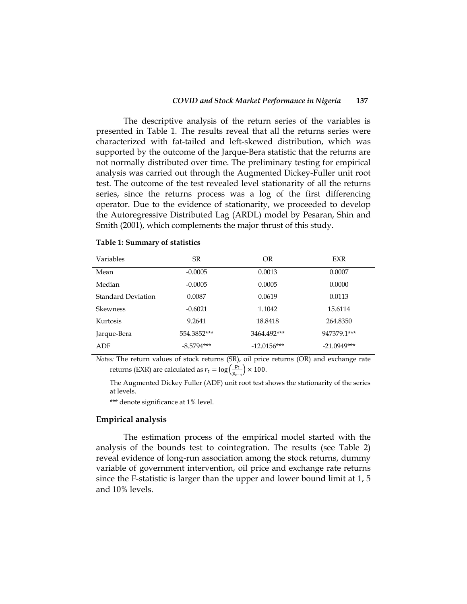The descriptive analysis of the return series of the variables is presented in Table 1. The results reveal that all the returns series were characterized with fat-tailed and left-skewed distribution, which was supported by the outcome of the Jarque-Bera statistic that the returns are not normally distributed over time. The preliminary testing for empirical analysis was carried out through the Augmented Dickey-Fuller unit root test. The outcome of the test revealed level stationarity of all the returns series, since the returns process was a log of the first differencing operator. Due to the evidence of stationarity, we proceeded to develop the Autoregressive Distributed Lag (ARDL) model by Pesaran, Shin and Smith (2001), which complements the major thrust of this study.

| Variables          | <b>SR</b>    | OR            | <b>EXR</b>    |
|--------------------|--------------|---------------|---------------|
| Mean               | $-0.0005$    | 0.0013        | 0.0007        |
| Median             | $-0.0005$    | 0.0005        | 0.0000        |
| Standard Deviation | 0.0087       | 0.0619        | 0.0113        |
| <b>Skewness</b>    | $-0.6021$    | 1.1042        | 15.6114       |
| Kurtosis           | 9.2641       | 18.8418       | 264,8350      |
| Jarque-Bera        | 554.3852***  | 3464.492***   | 947379.1***   |
| ADF                | $-8.5794***$ | $-12.0156***$ | $-21.0949***$ |

#### **Table 1: Summary of statistics**

*Notes:* The return values of stock returns (SR), oil price returns (OR) and exchange rate returns (EXR) are calculated as  $r_t = \log(\frac{p}{n})$  $\frac{pt}{p_{t-1}}$   $\times$  100.

The Augmented Dickey Fuller (ADF) unit root test shows the stationarity of the series at levels.

\*\*\* denote significance at 1% level.

# **Empirical analysis**

The estimation process of the empirical model started with the analysis of the bounds test to cointegration. The results (see Table 2) reveal evidence of long-run association among the stock returns, dummy variable of government intervention, oil price and exchange rate returns since the F-statistic is larger than the upper and lower bound limit at 1, 5 and 10% levels.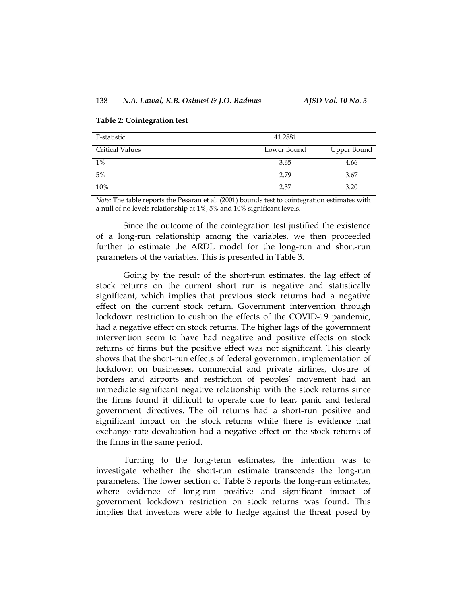# 138 *N.A. Lawal, K.B. Osinusi & J.O. Badmus AJSD Vol. 10 No. 3*

#### **Table 2: Cointegration test**

| F-statistic            | 41.2881     |             |
|------------------------|-------------|-------------|
| <b>Critical Values</b> | Lower Bound | Upper Bound |
| $1\%$                  | 3.65        | 4.66        |
| 5%                     | 2.79        | 3.67        |
| 10%                    | 2.37        | 3.20        |

*Note:* The table reports the Pesaran et al*.* (2001) bounds test to cointegration estimates with a null of no levels relationship at 1%, 5% and 10% significant levels.

Since the outcome of the cointegration test justified the existence of a long-run relationship among the variables, we then proceeded further to estimate the ARDL model for the long-run and short-run parameters of the variables. This is presented in Table 3.

Going by the result of the short-run estimates, the lag effect of stock returns on the current short run is negative and statistically significant, which implies that previous stock returns had a negative effect on the current stock return. Government intervention through lockdown restriction to cushion the effects of the COVID-19 pandemic, had a negative effect on stock returns. The higher lags of the government intervention seem to have had negative and positive effects on stock returns of firms but the positive effect was not significant. This clearly shows that the short-run effects of federal government implementation of lockdown on businesses, commercial and private airlines, closure of borders and airports and restriction of peoples' movement had an immediate significant negative relationship with the stock returns since the firms found it difficult to operate due to fear, panic and federal government directives. The oil returns had a short-run positive and significant impact on the stock returns while there is evidence that exchange rate devaluation had a negative effect on the stock returns of the firms in the same period.

Turning to the long-term estimates, the intention was to investigate whether the short-run estimate transcends the long-run parameters. The lower section of Table 3 reports the long-run estimates, where evidence of long-run positive and significant impact of government lockdown restriction on stock returns was found. This implies that investors were able to hedge against the threat posed by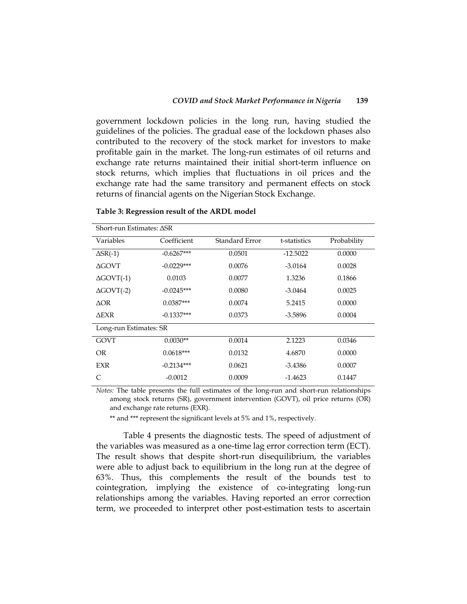government lockdown policies in the long run, having studied the guidelines of the policies. The gradual ease of the lockdown phases also contributed to the recovery of the stock market for investors to make profitable gain in the market. The long-run estimates of oil returns and exchange rate returns maintained their initial short-term influence on stock returns, which implies that fluctuations in oil prices and the exchange rate had the same transitory and permanent effects on stock returns of financial agents on the Nigerian Stock Exchange.

| Short-run Estimates: ASR |              |                |              |             |  |
|--------------------------|--------------|----------------|--------------|-------------|--|
| Variables                | Coefficient  | Standard Error | t-statistics | Probability |  |
| $\Delta$ SR(-1)          | $-0.6267***$ | 0.0501         | $-12.5022$   | 0.0000      |  |
| <b>AGOVT</b>             | $-0.0229***$ | 0.0076         | $-3.0164$    | 0.0028      |  |
| $\Delta$ GOVT $(-1)$     | 0.0103       | 0.0077         | 1.3236       | 0.1866      |  |
| $\Delta$ GOVT $(-2)$     | $-0.0245***$ | 0.0080         | $-3.0464$    | 0.0025      |  |
| AOR.                     | $0.0387***$  | 0.0074         | 5.2415       | 0.0000      |  |
| <b>AEXR</b>              | $-0.1337***$ | 0.0373         | $-3.5896$    | 0.0004      |  |
| Long-run Estimates: SR   |              |                |              |             |  |
| <b>GOVT</b>              | $0.0030**$   | 0.0014         | 2.1223       | 0.0346      |  |
| <b>OR</b>                | $0.0618***$  | 0.0132         | 4.6870       | 0.0000      |  |
| EXR                      | $-0.2134***$ | 0.0621         | $-3.4386$    | 0.0007      |  |
| C                        | $-0.0012$    | 0.0009         | $-1.4623$    | 0.1447      |  |

#### **Table 3: Regression result of the ARDL model**

*Notes:* The table presents the full estimates of the long-run and short-run relationships among stock returns (SR), government intervention (GOVT), oil price returns (OR) and exchange rate returns (EXR).

\*\* and \*\*\* represent the significant levels at 5% and 1%, respectively.

Table 4 presents the diagnostic tests. The speed of adjustment of the variables was measured as a one-time lag error correction term (ECT). The result shows that despite short-run disequilibrium, the variables were able to adjust back to equilibrium in the long run at the degree of 63%. Thus, this complements the result of the bounds test to cointegration, implying the existence of co-integrating long-run relationships among the variables. Having reported an error correction term, we proceeded to interpret other post-estimation tests to ascertain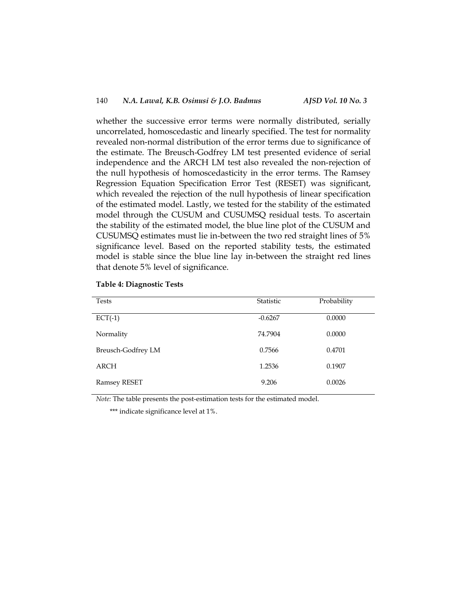whether the successive error terms were normally distributed, serially uncorrelated, homoscedastic and linearly specified. The test for normality revealed non-normal distribution of the error terms due to significance of the estimate. The Breusch-Godfrey LM test presented evidence of serial independence and the ARCH LM test also revealed the non-rejection of the null hypothesis of homoscedasticity in the error terms. The Ramsey Regression Equation Specification Error Test (RESET) was significant, which revealed the rejection of the null hypothesis of linear specification of the estimated model. Lastly, we tested for the stability of the estimated model through the CUSUM and CUSUMSQ residual tests. To ascertain the stability of the estimated model, the blue line plot of the CUSUM and CUSUMSQ estimates must lie in-between the two red straight lines of 5% significance level. Based on the reported stability tests, the estimated model is stable since the blue line lay in-between the straight red lines that denote 5% level of significance.

| <b>Tests</b>       | Statistic | Probability |
|--------------------|-----------|-------------|
| $ECT(-1)$          | $-0.6267$ | 0.0000      |
| Normality          | 74.7904   | 0.0000      |
| Breusch-Godfrey LM | 0.7566    | 0.4701      |
| ARCH               | 1.2536    | 0.1907      |
| Ramsey RESET       | 9.206     | 0.0026      |

### **Table 4: Diagnostic Tests**

*Note:* The table presents the post-estimation tests for the estimated model.

\*\*\* indicate significance level at 1%.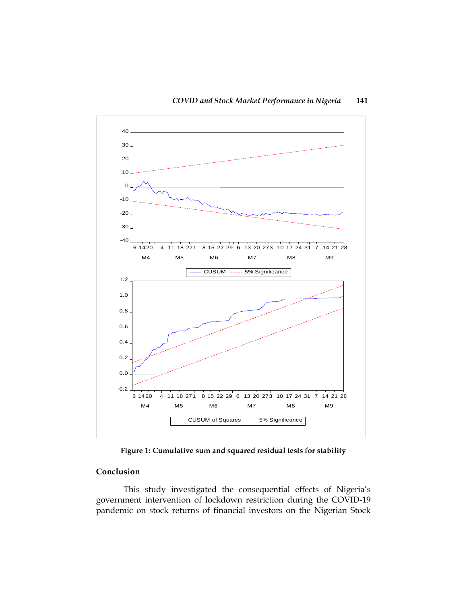

**Figure 1: Cumulative sum and squared residual tests for stability**

# **Conclusion**

This study investigated the consequential effects of Nigeria's government intervention of lockdown restriction during the COVID-19 pandemic on stock returns of financial investors on the Nigerian Stock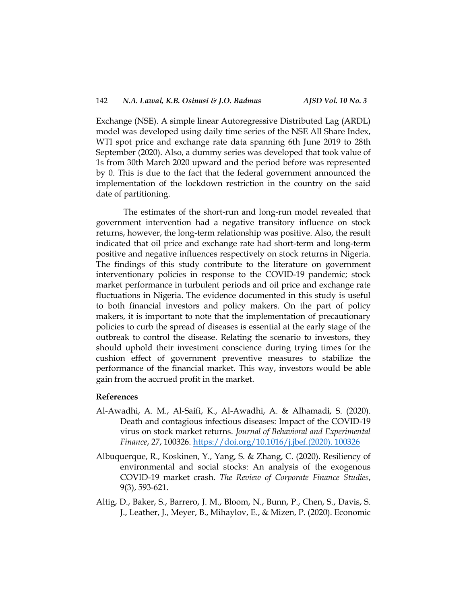Exchange (NSE). A simple linear Autoregressive Distributed Lag (ARDL) model was developed using daily time series of the NSE All Share Index, WTI spot price and exchange rate data spanning 6th June 2019 to 28th September (2020). Also, a dummy series was developed that took value of 1s from 30th March 2020 upward and the period before was represented by 0. This is due to the fact that the federal government announced the implementation of the lockdown restriction in the country on the said date of partitioning.

The estimates of the short-run and long-run model revealed that government intervention had a negative transitory influence on stock returns, however, the long-term relationship was positive. Also, the result indicated that oil price and exchange rate had short-term and long-term positive and negative influences respectively on stock returns in Nigeria. The findings of this study contribute to the literature on government interventionary policies in response to the COVID-19 pandemic; stock market performance in turbulent periods and oil price and exchange rate fluctuations in Nigeria. The evidence documented in this study is useful to both financial investors and policy makers. On the part of policy makers, it is important to note that the implementation of precautionary policies to curb the spread of diseases is essential at the early stage of the outbreak to control the disease. Relating the scenario to investors, they should uphold their investment conscience during trying times for the cushion effect of government preventive measures to stabilize the performance of the financial market. This way, investors would be able gain from the accrued profit in the market.

## **References**

- Al-Awadhi, A. M., Al-Saifi, K., Al-Awadhi, A. & Alhamadi, S. (2020). Death and contagious infectious diseases: Impact of the COVID-19 virus on stock market returns. *Journal of Behavioral and Experimental Finance*, 27, 100326. [https://doi.org/10.1016/j.jbef.\(2020\).](https://doi.org/10.1016/j.jbef.2020.%20100326) 100326
- Albuquerque, R., Koskinen, Y., Yang, S. & Zhang, C. (2020). Resiliency of environmental and social stocks: An analysis of the exogenous COVID-19 market crash. *The Review of Corporate Finance Studies*, 9(3), 593-621.
- Altig, D., Baker, S., Barrero, J. M., Bloom, N., Bunn, P., Chen, S., Davis, S. J., Leather, J., Meyer, B., Mihaylov, E., & Mizen, P. (2020). Economic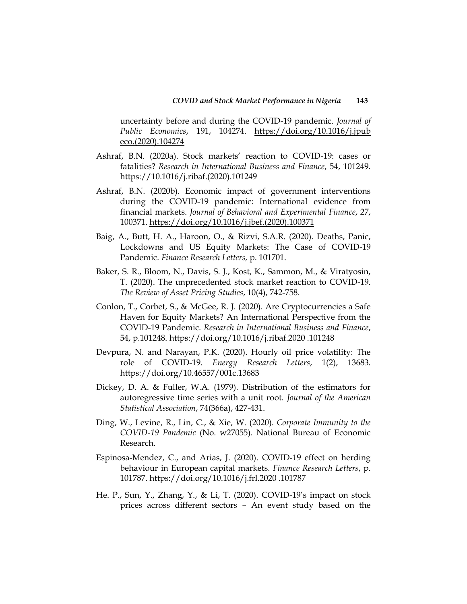uncertainty before and during the COVID-19 pandemic. *Journal of Public Economics*, 191, 104274. [https://doi.org/10.1016/j.jpub](https://doi.org/10.1016/j.jpub%20eco.2020.104274)  [eco.\(2020\).104274](https://doi.org/10.1016/j.jpub%20eco.2020.104274)

- Ashraf, B.N. (2020a). Stock markets' reaction to COVID-19: cases or fatalities? *Research in International Business and Finance*, 54, 101249. [https://10.1016/j.ribaf.\(2020\).101249](https://10.0.3.248/j.ribaf.2020.101249)
- Ashraf, B.N. (2020b). Economic impact of government interventions during the COVID-19 pandemic: International evidence from financial markets. *Journal of Behavioral and Experimental Finance*, 27, 100371. [https://doi.org/10.1016/j.jbef.\(2020\).100371](https://doi.org/10.1016/j.jbef.2020.100371)
- Baig, A., Butt, H. A., Haroon, O., & Rizvi, S.A.R. (2020). Deaths, Panic, Lockdowns and US Equity Markets: The Case of COVID-19 Pandemic. *Finance Research Letters,* p. 101701.
- Baker, S. R., Bloom, N., Davis, S. J., Kost, K., Sammon, M., & Viratyosin, T. (2020). The unprecedented stock market reaction to COVID-19. *The Review of Asset Pricing Studies*, 10(4), 742-758.
- Conlon, T., Corbet, S., & McGee, R. J. (2020). Are Cryptocurrencies a Safe Haven for Equity Markets? An International Perspective from the COVID-19 Pandemic. *Research in International Business and Finance*, 54, p.101248. [https://doi.org/10.1016/j.ribaf.2020 .101248](https://doi.org/10.1016/j.ribaf.2020%20.101248)
- Devpura, N. and Narayan, P.K. (2020). Hourly oil price volatility: The role of COVID-19. *Energy Research Letters*, 1(2), 13683. <https://doi.org/10.46557/001c.13683>
- Dickey, D. A. & Fuller, W.A. (1979). Distribution of the estimators for autoregressive time series with a unit root. *Journal of the American Statistical Association*, 74(366a), 427-431.
- Ding, W., Levine, R., Lin, C., & Xie, W. (2020). *Corporate Immunity to the COVID-19 Pandemic* (No. w27055). National Bureau of Economic Research.
- Espinosa-Mendez, C., and Arias, J. (2020). COVID-19 effect on herding behaviour in European capital markets. *Finance Research Letters*, p. 101787. [https://doi.org/10.1016/j.frl.2020 .101787](https://doi.org/10.1016/j.frl.2020%20.101787)
- He. P., Sun, Y., Zhang, Y., & Li, T. (2020). COVID-19's impact on stock prices across different sectors – An event study based on the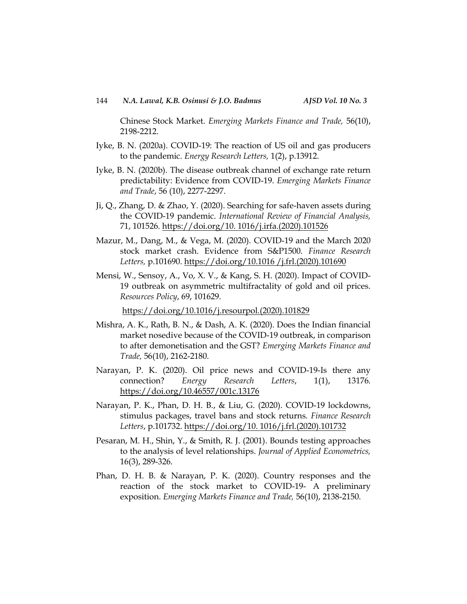Chinese Stock Market. *Emerging Markets Finance and Trade,* 56(10), 2198-2212.

- Iyke, B. N. (2020a). COVID-19: The reaction of US oil and gas producers to the pandemic. *Energy Research Letters,* 1(2), p.13912.
- Iyke, B. N. (2020b). The disease outbreak channel of exchange rate return predictability: Evidence from COVID-19. *Emerging Markets Finance and Trade*, 56 (10), 2277-2297.
- Ji, Q., Zhang, D. & Zhao, Y. (2020). Searching for safe-haven assets during the COVID-19 pandemic. *International Review of Financial Analysis,* 71, 101526. [https://doi.org/10. 1016/j.irfa.\(2020\).101526](https://doi.org/10.%201016/j.irfa.2020.101526)
- Mazur, M., Dang, M., & Vega, M. (2020). COVID-19 and the March 2020 stock market crash. Evidence from S&P1500. *Finance Research Letters,* p.101690. [https://doi.org/10.1016 /j.frl.\(2020\).101690](https://doi.org/10.1016%20/j.frl.2020.101690)
- Mensi, W., Sensoy, A., Vo, X. V., & Kang, S. H. (2020). Impact of COVID-19 outbreak on asymmetric multifractality of gold and oil prices. *Resources Policy*, 69, 101629.

[https://doi.org/10.1016/j.resourpol.\(2020\).101829](https://doi.org/10.1016/j.resourpol.2020.101829)

- Mishra, A. K., Rath, B. N., & Dash, A. K. (2020). Does the Indian financial market nosedive because of the COVID-19 outbreak, in comparison to after demonetisation and the GST? *Emerging Markets Finance and Trade,* 56(10), 2162-2180.
- Narayan, P. K. (2020). Oil price news and COVID-19-Is there any connection? *Energy Research Letters*, 1(1), 13176. <https://doi.org/10.46557/001c.13176>
- Narayan, P. K., Phan, D. H. B., & Liu, G. (2020). COVID-19 lockdowns, stimulus packages, travel bans and stock returns. *Finance Research Letters*, p.101732. [https://doi.org/10. 1016/j.frl.\(2020\).101732](https://doi.org/10.%201016/j.frl.2020.101732)
- Pesaran, M. H., Shin, Y., & Smith, R. J. (2001). Bounds testing approaches to the analysis of level relationships. *Journal of Applied Econometrics,* 16(3), 289-326.
- Phan, D. H. B. & Narayan, P. K. (2020). Country responses and the reaction of the stock market to COVID-19- A preliminary exposition. *Emerging Markets Finance and Trade,* 56(10), 2138-2150.